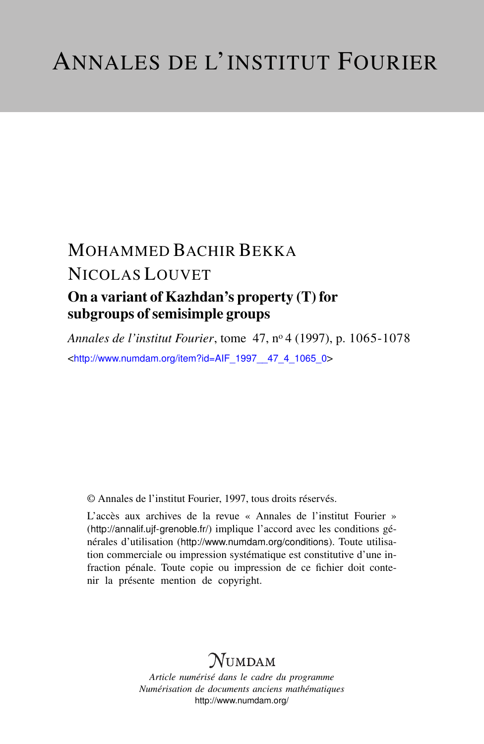## MOHAMMED BACHIR BEKKA NICOLAS LOUVET On a variant of Kazhdan's property (T) for subgroups of semisimple groups

*Annales de l'institut Fourier*, tome 47, n<sup>o</sup> 4 (1997), p. 1065-1078 <[http://www.numdam.org/item?id=AIF\\_1997\\_\\_47\\_4\\_1065\\_0](http://www.numdam.org/item?id=AIF_1997__47_4_1065_0)>

© Annales de l'institut Fourier, 1997, tous droits réservés.

L'accès aux archives de la revue « Annales de l'institut Fourier » (<http://annalif.ujf-grenoble.fr/>) implique l'accord avec les conditions générales d'utilisation (<http://www.numdam.org/conditions>). Toute utilisation commerciale ou impression systématique est constitutive d'une infraction pénale. Toute copie ou impression de ce fichier doit contenir la présente mention de copyright.

# NUMDAM

*Article numérisé dans le cadre du programme Numérisation de documents anciens mathématiques* <http://www.numdam.org/>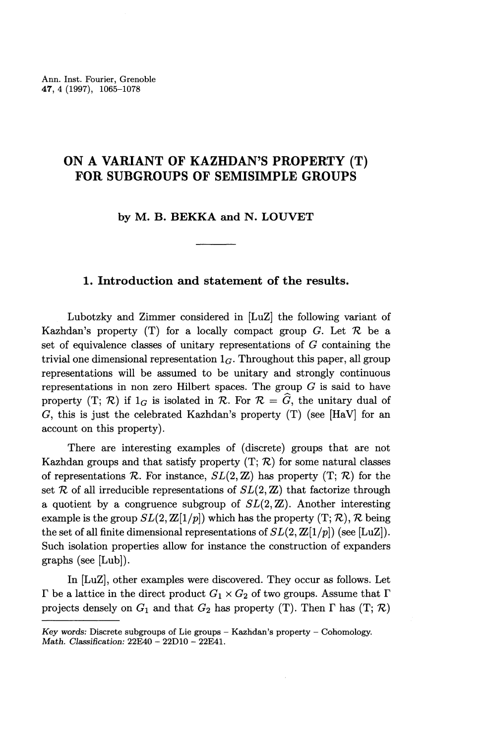## **ON A VARIANT OF KAZHDAN^S PROPERTY (T) FOR SUBGROUPS OF SEMISIMPLE GROUPS**

**by M. B. BEKKA and N. LOUVET**

### **1. Introduction and statement of the results.**

Lubotzky and Zimmer considered in [LuZ] the following variant of Kazhdan's property  $(T)$  for a locally compact group G. Let  $\mathcal R$  be a set of equivalence classes of unitary representations of *G* containing the trivial one dimensional representation  $1_G$ . Throughout this paper, all group representations will be assumed to be unitary and strongly continuous representations in non zero Hilbert spaces. The group *G* is said to have property  $(T; \mathcal{R})$  if  $I_G$  is isolated in  $\mathcal{R}$ . For  $\mathcal{R} = \widehat{G}$ , the unitary dual of G, this is just the celebrated Kazhdan's property  $(T)$  (see [HaV] for an account on this property).

There are interesting examples of (discrete) groups that are not Kazhdan groups and that satisfy property (T; *K)* for some natural classes of representations  $\mathcal R$ . For instance,  $SL(2,\mathbb{Z})$  has property  $(T;\mathcal R)$  for the set  $R$  of all irreducible representations of  $SL(2, \mathbb{Z})$  that factorize through a quotient by a congruence subgroup of  $SL(2,\mathbb{Z})$ . Another interesting example is the group  $SL(2, \mathbb{Z}[1/p])$  which has the property  $(T; \mathcal{R}), \mathcal{R}$  being the set of all finite dimensional representations of  $SL(2, \mathbb{Z}[1/p])$  (see [LuZ]). Such isolation properties allow for instance the construction of expanders graphs (see [Lub]).

In [LuZ], other examples were discovered. They occur as follows. Let  $\Gamma$  be a lattice in the direct product  $G_1 \times G_2$  of two groups. Assume that  $\Gamma$ projects densely on  $G_1$  and that  $G_2$  has property (T). Then  $\Gamma$  has (T;  $\mathcal{R}$ )

*Key words:* Discrete subgroups of Lie groups - Kazhdan's property - Cohomology. *Math. Classification:* 22E40 - 22D10 - 22E41.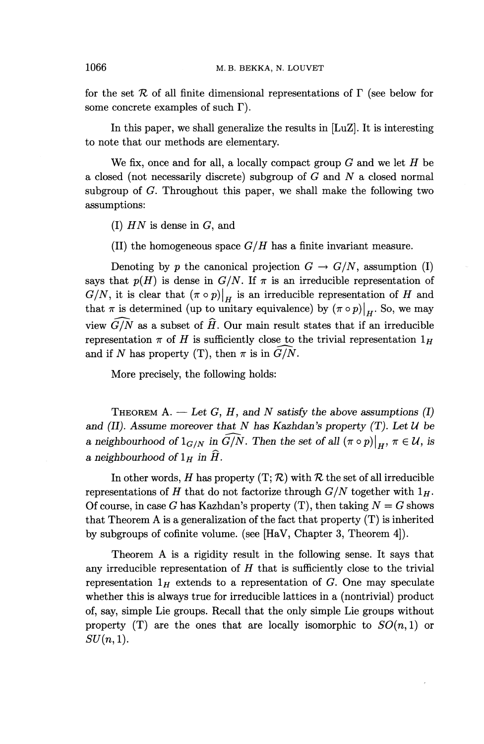for the set  $R$  of all finite dimensional representations of  $\Gamma$  (see below for some concrete examples of such  $\Gamma$ ).

In this paper, we shall generalize the results in [LuZ]. It is interesting to note that our methods are elementary.

We fix, once and for all, a locally compact group *G* and we let *H* be a closed (not necessarily discrete) subgroup of *G* and *N* a closed normal subgroup of *G.* Throughout this paper, we shall make the following two assumptions:

(I) *HN* is **dense in G, and**

(II) the homogeneous space  $G/H$  has a finite invariant measure.

Denoting by p the canonical projection  $G \to G/N$ , assumption (I) says that  $p(H)$  is dense in  $G/N$ . If  $\pi$  is an irreducible representation of  $G/N$ , it is clear that  $(\pi \circ p)|_H$  is an irreducible representation of *H* and that  $\pi$  is determined (up to unitary equivalence) by  $(\pi \circ p)|_{H}$ . So, we may view  $\widehat{G/N}$  as a subset of  $\widehat{H}$ . Our main result states that if an irreducible representation  $\pi$  of *H* is sufficiently close to the trivial representation  $1_H$ and if *N* has property (T), then  $\pi$  is in  $G/N$ .

More precisely, the following holds:

THEOREM  $A. - Let G, H, and N satisfy the above assumptions (I)$ and (II). Assume moreover that  $N$  has Kazhdan's property  $(T)$ . Let  $U$  be *a neighbourhood of*  $1_{G/N}$  *in*  $\widehat{G/N}$ *. Then the set of all*  $(\pi \circ p)|_H$ ,  $\pi \in \mathcal{U}$ , *is a neighbourhood of*  $1_H$  *in*  $\widehat{H}$ *.* 

In other words, *H* has property  $(T; \mathcal{R})$  with  $\mathcal{R}$  the set of all irreducible representations of *H* that do not factorize through  $G/N$  together with  $1_H$ . Of course, in case *G* has Kazhdan's property  $(T)$ , then taking  $N = G$  shows that Theorem A is a generalization of the fact that property  $(T)$  is inherited by subgroups of cofinite volume, (see [HaV, Chapter 3, Theorem 4]).

Theorem A is a rigidity result in the following sense. It says that any irreducible representation of *H* that is sufficiently close to the trivial representation  $1_H$  extends to a representation of *G*. One may speculate whether this is always true for irreducible lattices in a (nontrivial) product of, say, simple Lie groups. Recall that the only simple Lie groups without property  $(T)$  are the ones that are locally isomorphic to  $SO(n,1)$  or  $SU(n,1)$ .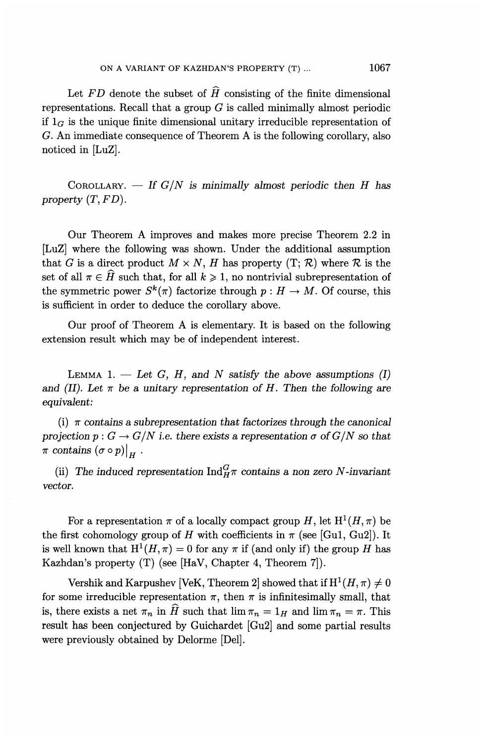Let  $FD$  denote the subset of  $\hat{H}$  consisting of the finite dimensional representations. Recall that a group *G* is called minimally almost periodic if  $1_G$  is the unique finite dimensional unitary irreducible representation of G. An immediate consequence of Theorem A is the following corollary, also noticed in [LuZ].

COROLLARY. — *If G/N is minimally almost periodic then H has property (T,FD).*

Our Theorem A improves and makes more precise Theorem 2.2 in [LuZ] where the following was shown. Under the additional assumption that G is a direct product  $M \times N$ , H has property  $(T; \mathcal{R})$  where  $\mathcal{R}$  is the set of all  $\pi \in \widehat{H}$  such that, for all  $k \geq 1$ , no nontrivial subrepresentation of the symmetric power  $S^k(\pi)$  factorize through  $p : H \to M$ . Of course, this is sufficient in order to deduce the corollary above.

Our proof of Theorem A is elementary. It is based on the following extension result which may be of independent interest.

LEMMA 1.  $-$  Let G, H, and N satisfy the above assumptions (I) and *(II). Let*  $\pi$  be a unitary representation of H. Then the following are *equivalent:*

(i)  $\pi$  contains a subrepresentation that factorizes through the canonical projection  $p : G \to G/N$  i.e. there exists a representation  $\sigma$  of  $G/N$  so that  $\pi$  contains  $(\sigma \circ p)|_{\mathbf{F}}$ .

(ii) The induced representation  $\text{Ind}_{H}^G \pi$  contains a non zero N-invariant *vector.*

For a representation  $\pi$  of a locally compact group H, let  $H^1(H, \pi)$  be the first cohomology group of *H* with coefficients in  $\pi$  (see [Gu1, Gu2]). It is well known that  $H^1(H, \pi) = 0$  for any  $\pi$  if (and only if) the group *H* has Kazhdan's property (T) (see [HaV, Chapter 4, Theorem 7]).

Vershik and Karpushev [VeK, Theorem 2] showed that if  $H^1(H, \pi) \neq 0$ for some irreducible representation  $\pi$ , then  $\pi$  is infinitesimally small, that is, there exists a net  $\pi_n$  in  $\widehat{H}$  such that  $\lim \pi_n = 1_H$  and  $\lim \pi_n = \pi$ . This result has been conjectured by Guichardet [Gu2] and some partial results were previously obtained by Delorme [Del].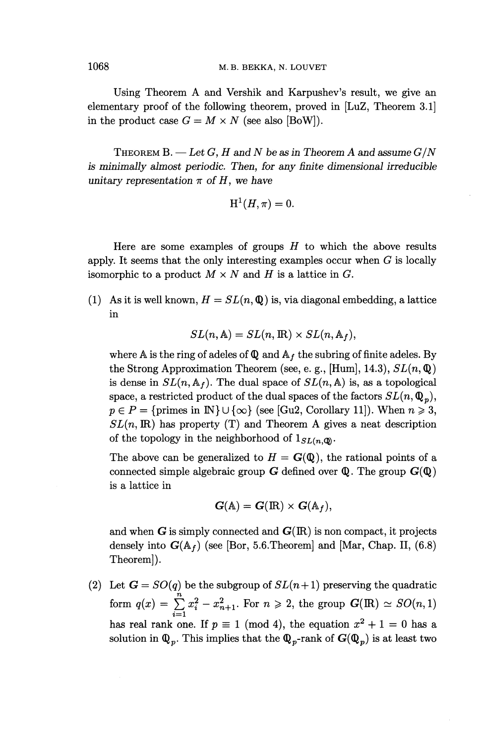Using Theorem A and Vershik and Karpushev^s result, we give an elementary proof of the following theorem, proved in [LuZ, Theorem 3.1] in the product case  $G = M \times N$  (see also [BoW]).

THEOREM B. — *Let G, H and N be as in Theorem A and assume G/N is minimally almost periodic. Then, for any finite dimensional irreducible unitary representation*  $\pi$  *of H, we have* 

$$
\mathrm{H}^1(H,\pi)=0.
$$

Here are some examples of groups *H* to which the above results apply. It seems that the only interesting examples occur when *G* is locally isomorphic to a product *M x N* and *H* is a lattice in *G.*

(1) As it is well known,  $H = SL(n, \mathbb{Q})$  is, via diagonal embedding, a lattice in

$$
SL(n, A) = SL(n, \mathbb{R}) \times SL(n, A_f),
$$

where A is the ring of adeles of  $\mathbb Q$  and  $\mathbb A_f$  the subring of finite adeles. By the Strong Approximation Theorem (see, e. g., [Hum], 14.3), *SL(n,* Q) is dense in  $SL(n, \mathbb{A}_f)$ . The dual space of  $SL(n, \mathbb{A})$  is, as a topological space, a restricted product of the dual spaces of the factors  $SL(n, \mathbb{Q}_p)$ ,  $p \in P = \{ \text{primes in } \mathbb{N} \} \cup \{ \infty \}$  (see [Gu2, Corollary 11]). When  $n \geq 3$ ,  $SL(n, \mathbb{R})$  has property (T) and Theorem A gives a neat description of the topology in the neighborhood of  $1_{SL(n,\mathbb{Q})}$ .

The above can be generalized to  $H = G(\mathbb{Q})$ , the rational points of a connected simple algebraic group  $G$  defined over  $\mathbb Q$ . The group  $G(\mathbb Q)$ is a lattice in

$$
G(\mathbb{A}) = G(\mathbb{R}) \times G(\mathbb{A}_f),
$$

and when  $G$  is simply connected and  $G(R)$  is non compact, it projects densely into  $G(A_f)$  (see [Bor, 5.6. Theorem] and [Mar, Chap. II, (6.8) Theorem]).

(2) Let  $G = SO(q)$  be the subgroup of  $SL(n+1)$  preserving the quadratic form  $q(x) = \sum_{i=1}^{n} x_i^2 - x_{n+1}^2$ . For  $n \ge 2$ , the group  $G(\mathbb{R}) \simeq SO(n, 1)$ has real rank one. If  $p \equiv 1 \pmod{4}$ , the equation  $x^2 + 1 = 0$  has a solution in  $\mathbb{Q}_p$ . This implies that the  $\mathbb{Q}_p$ -rank of  $G(\mathbb{Q}_p)$  is at least two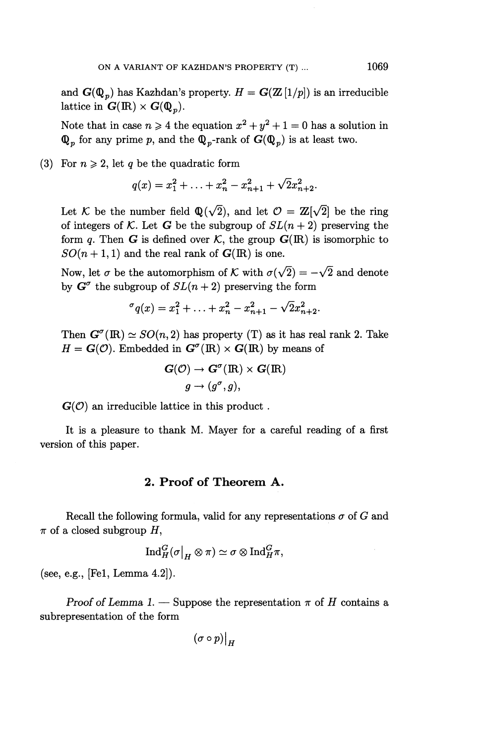and  $\mathbf{G}(\mathbf{Q}_p)$  has Kazhdan's property.  $H = \mathbf{G}(\mathbf{Z}[1/p])$  is an irreducible lattice in  $G(\mathbb{R}) \times G(\mathbb{Q}_n)$ .

Note that in case  $n \ge 4$  the equation  $x^2 + y^2 + 1 = 0$  has a solution in  $\mathbb{Q}_p$  for any prime p, and the  $\mathbb{Q}_p$ -rank of  $G(\mathbb{Q}_p)$  is at least two.

(3) For  $n \geq 2$ , let q be the quadratic form

$$
q(x) = x_1^2 + \ldots + x_n^2 - x_{n+1}^2 + \sqrt{2x_{n+2}^2}.
$$

Let K be the number field  $\mathbb{Q}(\sqrt{2})$ , and let  $\mathcal{O} = \mathbb{Z}[\sqrt{2}]$  be the ring of integers of K. Let G be the subgroup of  $SL(n+2)$  preserving the form q. Then **G** is defined over  $K$ , the group  $G(\mathbb{R})$  is isomorphic to  $SO(n+1,1)$  and the real rank of  $G(\mathbb{R})$  is one.

Now, let  $\sigma$  be the automorphism of K with  $\sigma(\sqrt{2}) = -\sqrt{2}$  and denote by  $G^{\sigma}$  the subgroup of  $SL(n+2)$  preserving the form

$$
\sigma_q(x) = x_1^2 + \ldots + x_n^2 - x_{n+1}^2 - \sqrt{2x_{n+2}^2}.
$$

Then  $G^{\sigma}(\mathbb{R}) \simeq SO(n, 2)$  has property (T) as it has real rank 2. Take  $H = G(\mathcal{O})$ . Embedded in  $G^{\sigma}(\mathbb{R}) \times G(\mathbb{R})$  by means of

$$
\mathbf{G}(\mathcal{O}) \to \mathbf{G}^{\sigma}(\mathbb{R}) \times \mathbf{G}(\mathbb{R})
$$

$$
g \to (g^{\sigma}, g),
$$

 $G(\mathcal{O})$  an irreducible lattice in this product.

It is a pleasure to thank M. Mayer for a careful reading of a first version of this paper.

### **2. Proof of Theorem A.**

Recall the following formula, valid for any representations  $\sigma$  of  $G$  and  $\pi$  of a closed subgroup H,

$$
\mathrm{Ind}_{H}^{G}(\sigma|_{H}\otimes \pi)\simeq \sigma\otimes \mathrm{Ind}_{H}^{G}\pi,
$$

(see, **e.g.,** [Fel, **Lemma** 4.2]).

*Proof of Lemma 1.* — Suppose the representation  $\pi$  of *H* contains a subrepresentation of the form

$$
(\sigma\circ p)\big|_H
$$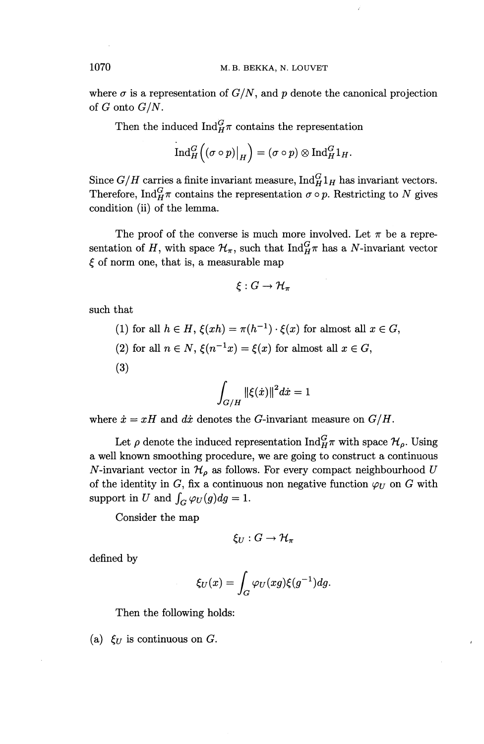where  $\sigma$  is a representation of  $G/N$ , and p denote the canonical projection of *G* onto *G/N .*

Then the induced  $\text{Ind}_{H}^{G}$  contains the representation

$$
\operatorname{Ind}_H^G((\sigma \circ p)|_H) = (\sigma \circ p) \otimes \operatorname{Ind}_H^G 1_H.
$$

Since  $G/H$  carries a finite invariant measure,  $\text{Ind}_{H}^{G} 1_{H}$  has invariant vectors. Therefore,  $\text{Ind}_{H}^{G} \pi$  contains the representation  $\sigma \circ p$ . Restricting to *N* gives condition (ii) of the lemma.

The proof of the converse is much more involved. Let  $\pi$  be a representation of *H*, with space  $\mathcal{H}_{\pi}$ , such that Ind $\mathcal{G}_{H}^{\mathcal{F}}$  has a N-invariant vector  $\xi$  of norm one, that is, a measurable map

$$
\xi: G \to \mathcal{H}_{\pi}
$$

such that

\n- (1) for all 
$$
h \in H
$$
,  $\xi(xh) = \pi(h^{-1}) \cdot \xi(x)$  for almost all  $x \in G$ ,
\n- (2) for all  $n \in N$ ,  $\xi(n^{-1}x) = \xi(x)$  for almost all  $x \in G$ ,
\n- (3)
\n

$$
\int_{G/H} \|\xi(\dot{x})\|^2 d\dot{x} = 1
$$

where  $\dot{x} = xH$  and  $d\dot{x}$  denotes the *G*-invariant measure on  $G/H$ .

Let  $\rho$  denote the induced representation  $\text{Ind}^G_H\pi$  with space  $\mathcal{H}_o$ . Using a well known smoothing procedure, we are going to construct a continuous N-invariant vector in  $\mathcal{H}_{\rho}$  as follows. For every compact neighbourhood U of the identity in  $G$ , fix a continuous non negative function  $\varphi_U$  on  $G$  with support in U and  $\int_G \varphi_U(g) dg = 1$ .

Consider the map

$$
\xi_U:G\to \mathcal{H}_\pi
$$

defined by

$$
\xi_U(x) = \int_G \varphi_U(xg)\xi(g^{-1})dg.
$$

Then the following holds:

(a)  $\xi_U$  is continuous on G.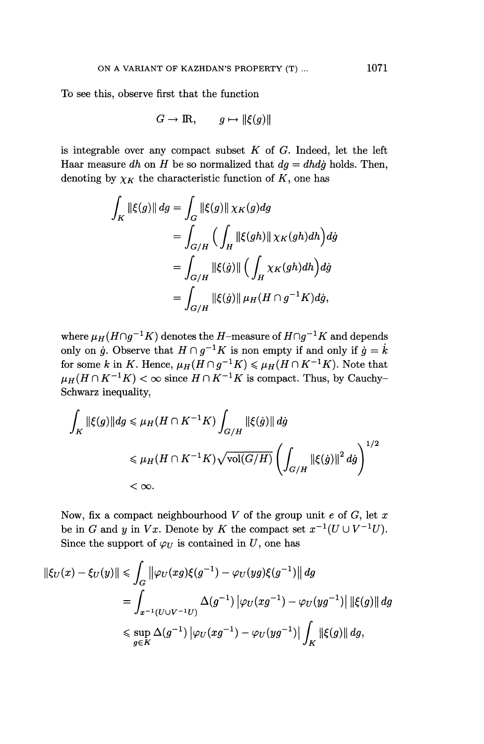To see this, observe first that the function

$$
G \to \mathbb{R}, \qquad g \mapsto \|\xi(g)\|
$$

is integrable over any compact subset *K* of *G.* Indeed, let the left Haar measure *dh* on *H* be so normalized that  $dg = d h d g$  holds. Then, denoting by  $\chi_K$  the characteristic function of  $K$ , one has

$$
\int_{K} \|\xi(g)\| dg = \int_{G} \|\xi(g)\| \chi_{K}(g) dg
$$
\n
$$
= \int_{G/H} \left( \int_{H} \|\xi(gh)\| \chi_{K}(gh) dh \right) dg
$$
\n
$$
= \int_{G/H} \|\xi(\dot{g})\| \left( \int_{H} \chi_{K}(gh) dh \right) dg
$$
\n
$$
= \int_{G/H} \|\xi(\dot{g})\| \mu_{H}(H \cap g^{-1} K) dg,
$$

where  $\mu_H(H \cap g^{-1}K)$  denotes the *H*-measure of  $H \cap g^{-1}K$  and depends only on  $\dot{g}$ . Observe that  $H \cap g^{-1}K$  is non empty if and only if  $\dot{g} = \dot{k}$ for some k in K. Hence,  $\mu_H(H \cap g^{-1}K) \leq \mu_H(H \cap K^{-1}K)$ . Note that  $\mu_H(H \cap K^{-1}K) < \infty$  since  $H \cap K^{-1}K$  is compact. Thus, by Cauchy-Schwarz inequality,

$$
\begin{aligned} \int_K \|\xi(g)\| dg &\leqslant \mu_H(H\cap K^{-1}K) \int_{G/H} \|\xi(\dot{g})\| \, d\dot{g} \\ &\leqslant \mu_H(H\cap K^{-1}K) \sqrt{\text{vol}(G/H)} \left(\int_{G/H} \left\|\xi(\dot{g})\right\|^2 d\dot{g}\right)^{1/2} \\ &< \infty. \end{aligned}
$$

Now, fix a compact neighbourhood *V* of the group unit *e* of G, let *x* be in *G* and *y* in *Vx*. Denote by *K* the compact set  $x^{-1}(U \cup V^{-1}U)$ . Since the support of  $\varphi_U$  is contained in U, one has

$$
\begin{aligned} \|\xi_U(x) - \xi_U(y)\| &\leq \int_G \left\| \varphi_U(xg)\xi(g^{-1}) - \varphi_U(yg)\xi(g^{-1}) \right\| dg \\ &= \int_{x^{-1}(U \cup V^{-1}U)} \Delta(g^{-1}) \left| \varphi_U(xg^{-1}) - \varphi_U(yg^{-1}) \right| \|\xi(g)\| dg \\ &\leq \sup_{g \in K} \Delta(g^{-1}) \left| \varphi_U(xg^{-1}) - \varphi_U(yg^{-1}) \right| \int_K \|\xi(g)\| dg, \end{aligned}
$$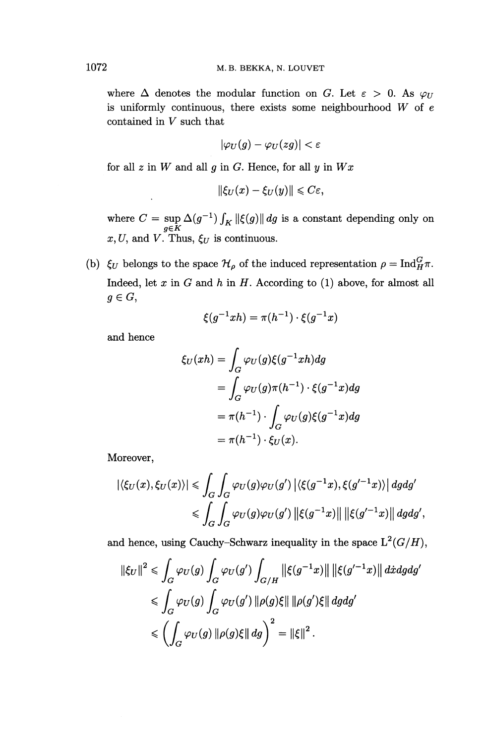where  $\Delta$  denotes the modular function on G. Let  $\varepsilon > 0$ . As  $\varphi_U$ is uniformly continuous, there exists some neighbourhood *W* of e contained in *V* such that

$$
|\varphi_U(g)-\varphi_U(zg)|<\varepsilon
$$

for all *z* in *W* and all *g* in *G.* Hence, for all *y* in *Wx*

$$
\|\xi_U(x)-\xi_U(y)\|\leqslant C\varepsilon,
$$

where  $C = \sup_{g \in K} \Delta(g^{-1}) \int_K \|\xi(g)\| dg$  is a constant depending only on  $x, U$ , and *V*. Thus,  $\xi_U$  is continuous.

(b)  $\xi_U$  belongs to the space  $\mathcal{H}_{\rho}$  of the induced representation  $\rho = \text{Ind}_{H}^G \pi$ . Indeed, let  $x$  in  $G$  and  $h$  in  $H$ . According to (1) above, for almost all  $g \in G$ ,

$$
\xi(g^{-1}xh) = \pi(h^{-1}) \cdot \xi(g^{-1}x)
$$

and hence

$$
\xi_U(xh) = \int_G \varphi_U(g)\xi(g^{-1}xh)dg
$$
  
= 
$$
\int_G \varphi_U(g)\pi(h^{-1}) \cdot \xi(g^{-1}x)dg
$$
  
= 
$$
\pi(h^{-1}) \cdot \int_G \varphi_U(g)\xi(g^{-1}x)dg
$$
  
= 
$$
\pi(h^{-1}) \cdot \xi_U(x).
$$

Moreover,

$$
\begin{aligned} |\langle \xi_U(x), \xi_U(x) \rangle| &\leq \int_G \int_G \varphi_U(g) \varphi_U(g') \left| \langle \xi(g^{-1}x), \xi(g'^{-1}x) \rangle \right| dg dg' \\ &\leq \int_G \int_G \varphi_U(g) \varphi_U(g') \left\| \xi(g^{-1}x) \right\| \left\| \xi(g'^{-1}x) \right\| dg dg', \end{aligned}
$$

and hence, using Cauchy-Schwarz inequality in the space  $L^2(G/H)$ ,

$$
\|\xi_U\|^2 \leq \int_G \varphi_U(g) \int_G \varphi_U(g') \int_{G/H} \|\xi(g^{-1}x)\| \|\xi(g'^{-1}x)\| \, dxdgdg'
$$
  

$$
\leq \int_G \varphi_U(g) \int_G \varphi_U(g') \|\rho(g)\xi\| \|\rho(g')\xi\| \, dgdg'
$$
  

$$
\leq \left(\int_G \varphi_U(g) \|\rho(g)\xi\| \, dg\right)^2 = \|\xi\|^2.
$$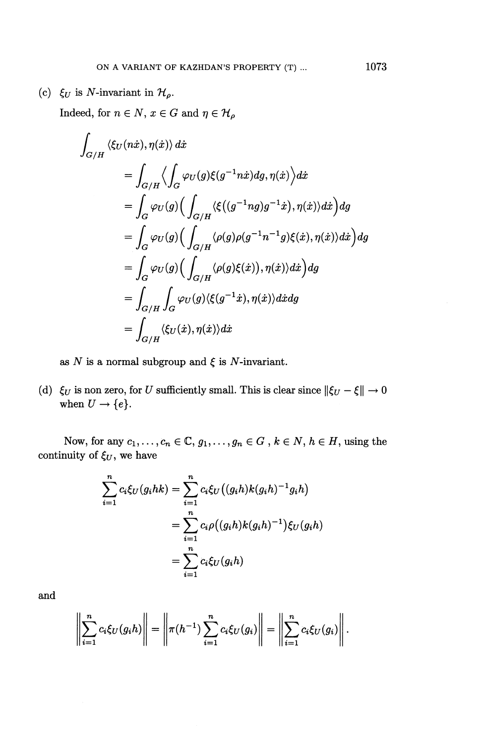(c)  $\xi_U$  is N-invariant in  $\mathcal{H}_\rho$ .

Indeed, for  $n \in N$ ,  $x \in G$  and  $\eta \in \mathcal{H}_{\rho}$ 

$$
\int_{G/H} \langle \xi_U(n\dot{x}), \eta(\dot{x}) \rangle d\dot{x} \n= \int_{G/H} \langle \int_G \varphi_U(g) \xi(g^{-1}n\dot{x}) dg, \eta(\dot{x}) \rangle d\dot{x} \n= \int_G \varphi_U(g) \Big( \int_{G/H} \langle \xi((g^{-1}ng)g^{-1}\dot{x}), \eta(\dot{x}) \rangle d\dot{x} \Big) dg \n= \int_G \varphi_U(g) \Big( \int_{G/H} \langle \rho(g) \rho(g^{-1}n^{-1}g) \xi(\dot{x}), \eta(\dot{x}) \rangle d\dot{x} \Big) dg \n= \int_G \varphi_U(g) \Big( \int_{G/H} \langle \rho(g) \xi(\dot{x}), \eta(\dot{x}) \rangle d\dot{x} \Big) dg \n= \int_{G/H} \int_G \varphi_U(g) \langle \xi(g^{-1}\dot{x}), \eta(\dot{x}) \rangle d\dot{x} dg \n= \int_{G/H} \langle \xi_U(\dot{x}), \eta(\dot{x}) \rangle d\dot{x}
$$

as N is a normal subgroup and  $\xi$  is N-invariant.

(d)  $\xi_U$  is non zero, for *U* sufficiently small. This is clear since  $\|\xi_U - \xi\| \to 0$ when  $U \rightarrow \{e\}.$ 

Now, for any  $c_1, \ldots, c_n \in \mathbb{C}, g_1, \ldots, g_n \in G$ ,  $k \in \mathbb{N}, h \in H$ , using the continuity of  $\xi_U$ , we have

$$
\sum_{i=1}^{n} c_i \xi_U(g_i hk) = \sum_{i=1}^{n} c_i \xi_U((g_i h) k(g_i h)^{-1} g_i h)
$$
  
= 
$$
\sum_{i=1}^{n} c_i \rho((g_i h) k(g_i h)^{-1}) \xi_U(g_i h)
$$
  
= 
$$
\sum_{i=1}^{n} c_i \xi_U(g_i h)
$$

and

$$
\left|\sum_{i=1}^n c_i \xi_U(g_i h)\right| = \left\|\pi(h^{-1}) \sum_{i=1}^n c_i \xi_U(g_i)\right\| = \left\|\sum_{i=1}^n c_i \xi_U(g_i)\right\|.
$$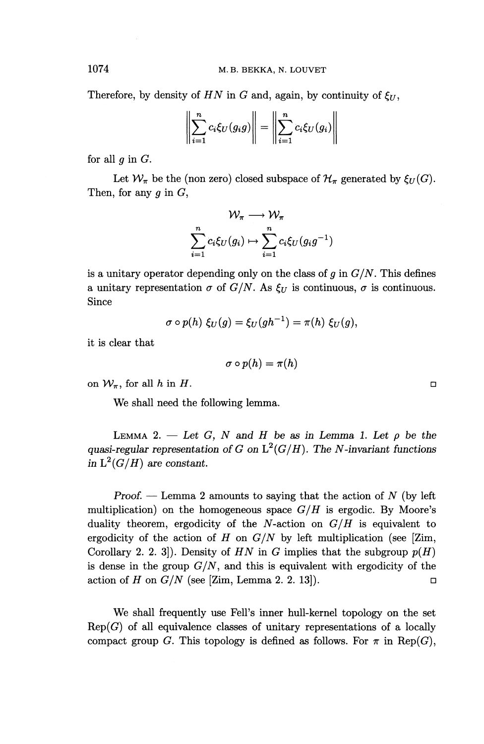Therefore, by density of  $HN$  in G and, again, by continuity of  $\xi_{II}$ ,

$$
\left\| \sum_{i=1}^{n} c_i \xi_U(g_i g) \right\| = \left\| \sum_{i=1}^{n} c_i \xi_U(g_i) \right\|
$$

for all *g* in *G.*

Let  $\mathcal{W}_{\pi}$  be the (non zero) closed subspace of  $\mathcal{H}_{\pi}$  generated by  $\xi_{U}(G)$ . Then, for any *g* in G,

$$
\mathcal{W}_{\pi} \longrightarrow \mathcal{W}_{\pi}
$$

$$
\sum_{i=1}^{n} c_i \xi_U(g_i) \mapsto \sum_{i=1}^{n} c_i \xi_U(g_i g^{-1})
$$

is a unitary operator depending only on the class of  $q$  in  $G/N$ . This defines a unitary representation  $\sigma$  of  $G/N$ . As  $\xi_U$  is continuous,  $\sigma$  is continuous. Since

$$
\sigma \circ p(h) \xi_U(g) = \xi_U(gh^{-1}) = \pi(h) \xi_U(g),
$$

it is clear that

$$
\sigma \circ p(h) = \pi(h)
$$

on  $W_{\pi}$ , for all h in H.

We shall need the following lemma.

LEMMA 2.  $-$  Let G, N and H be as in Lemma 1. Let  $\rho$  be the *quasi-regular representation of G on*  $L^2(G/H)$ . The *N*-invariant functions *in*  $L^2(G/H)$  are constant.

*Proof. —* Lemma 2 amounts to saying that the action of *N* (by left multiplication) on the homogeneous space *G/H* is ergodic. By Moore's duality theorem, ergodicity of the N-action on  $G/H$  is equivalent to ergodicity of the action of *H* on *G/N* by left multiplication (see [Zim, Corollary 2. 2. 3. 3. Density of  $HN$  in G implies that the subgroup  $p(H)$ is dense in the group  $G/N$ , and this is equivalent with ergodicity of the action of *H* on  $G/N$  (see [Zim, Lemma 2. 2. 13]).

We shall frequently use Fell's inner hull-kernel topology on the set  $Rep(G)$  of all equivalence classes of unitary representations of a locally compact group G. This topology is defined as follows. For  $\pi$  in Rep(G),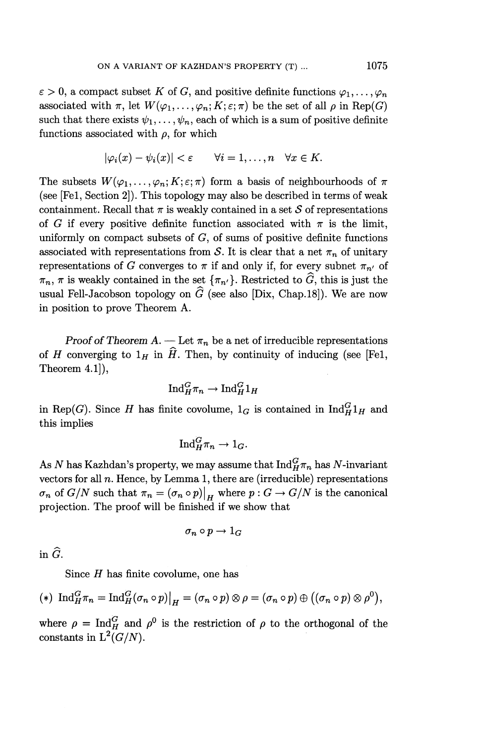$\varepsilon > 0$ , a compact subset *K* of *G*, and positive definite functions  $\varphi_1, \ldots, \varphi_n$ associated with  $\pi$ , let  $W(\varphi_1,\ldots,\varphi_n; K; \varepsilon; \pi)$  be the set of all  $\rho$  in Rep(G) such that there exists  $\psi_1,\ldots, \psi_n$ , each of which is a sum of positive definite functions associated with  $\rho$ , for which

$$
|\varphi_i(x)-\psi_i(x)|<\varepsilon \qquad \forall i=1,\ldots,n \quad \forall x\in K.
$$

The subsets  $W(\varphi_1,\ldots,\varphi_n;K;\varepsilon;\pi)$  form a basis of neighbourhoods of  $\pi$ (see [Fel, Section 2]). This topology may also be described in terms of weak containment. Recall that  $\pi$  is weakly contained in a set S of representations of *G* if every positive definite function associated with  $\pi$  is the limit, uniformly on compact subsets of  $G$ , of sums of positive definite functions associated with representations from S. It is clear that a net  $\pi_n$  of unitary representations of *G* converges to  $\pi$  if and only if, for every subnet  $\pi_{n'}$  of  $\pi_n$ ,  $\pi$  is weakly contained in the set  $\{\pi_{n'}\}$ . Restricted to  $\widehat{G}$ , this is just the usual Fell-Jacobson topology on  $\widehat{G}$  (see also [Dix, Chap. 18]). We are now in position to prove Theorem A.

*Proof of Theorem A.* — Let  $\pi_n$  be a net of irreducible representations of *H* converging to  $1_H$  in  $\hat{H}$ . Then, by continuity of inducing (see [Fe1, Theorem 4.1]),

$$
\mathrm{Ind}_H^G\pi_n \to \mathrm{Ind}_H^G1_H
$$

in Rep(G). Since *H* has finite covolume,  $1_G$  is contained in  $\text{Ind}_{H}^{G} 1_H$  and this implies

$$
\mathrm{Ind}_{H}^{G} \pi_{n} \to 1_{G}.
$$

As N has Kazhdan's property, we may assume that  $\text{Ind}_{H}^{G}(\pi_n)$  has N-invariant vectors for all *n.* Hence, by Lemma 1, there are (irreducible) representations  $\sigma_n$  of  $G/N$  such that  $\pi_n = (\sigma_n \circ p)|_H$  where  $p : G \to G/N$  is the canonical projection. The proof will be finished if we show that

$$
\sigma_n\circ p\to 1_G
$$

in  $\widehat{G}$ .

Since *H* has finite covolume, one has

$$
(*) \ \mathrm{Ind}_{H}^{G} \pi_{n} = \mathrm{Ind}_{H}^{G} (\sigma_{n} \circ p) \big|_{H} = (\sigma_{n} \circ p) \otimes \rho = (\sigma_{n} \circ p) \oplus ((\sigma_{n} \circ p) \otimes \rho^{0}),
$$

where  $\rho = \text{Ind}_{H}^{G}$  and  $\rho^{0}$  is the restriction of  $\rho$  to the orthogonal of the constants in  $L^2(G/N)$ .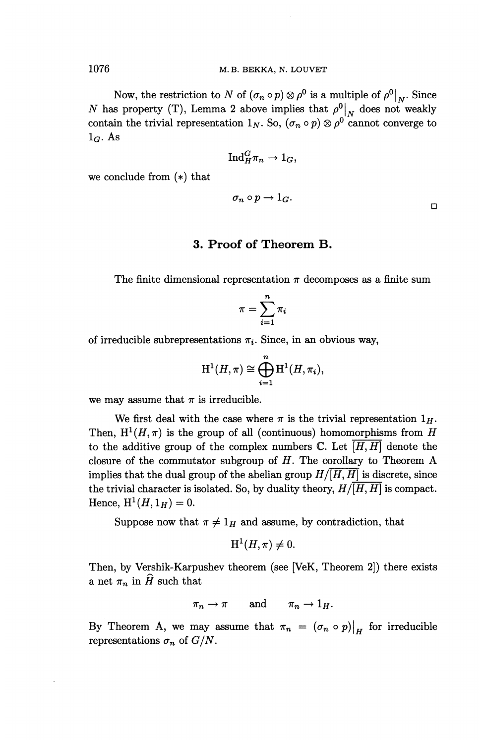Now, the restriction to *N* of  $(\sigma_n \circ p) \otimes \rho^0$  is a multiple of  $\rho^0|_{N}$ . Since *N* has property (T), Lemma 2 above implies that  $\rho^0|_N$  does not weakly contain the trivial representation  $1_N$ . So,  $(\sigma_n \circ p) \otimes \rho^0$  cannot converge to  $1_G$ . As

$$
\textup{Ind}_{H}^{G}\pi_{n}\rightarrow 1_{G},
$$

we conclude from (\*) that

$$
\sigma_n \circ p \to 1_G. \qquad \qquad \Box
$$

#### **3. Proof of Theorem B.**

The finite dimensional representation  $\pi$  decomposes as a finite sum

$$
\pi = \sum_{i=1}^n \pi_i
$$

of irreducible subrepresentations  $\pi_i$ . Since, in an obvious way,

$$
H^1(H,\pi) \cong \bigoplus_{i=1}^n H^1(H,\pi_i),
$$

we may assume that  $\pi$  is irreducible.

We first deal with the case where  $\pi$  is the trivial representation  $1_H$ . Then,  $H^1(H,\pi)$  is the group of all (continuous) homomorphisms from *H* to the additive group of the complex numbers  $\mathbb C$ . Let  $[H, H]$  denote the closure of the commutator subgroup of *H.* The corollary to Theorem A implies that the dual group of the abelian group  $H/[H, H]$  is discrete, since the trivial character is isolated. So, by duality theory,  $H/\overline{[H,H]}$  is compact. Hence,  $H^1(H, 1_H) = 0$ .

Suppose now that  $\pi \neq 1_H$  and assume, by contradiction, that

$$
H^1(H,\pi) \neq 0.
$$

Then, by Vershik-Karpushev theorem (see [VeK, Theorem 2]) there exists a net  $\pi_n$  in  $\widehat{H}$  such that

$$
\pi_n \to \pi \quad \text{and} \quad \pi_n \to 1_H.
$$

By Theorem A, we may assume that  $\pi_n = (\sigma_n \circ p)|_H$  for irreducible representations  $\sigma_n$  of  $G/N$ .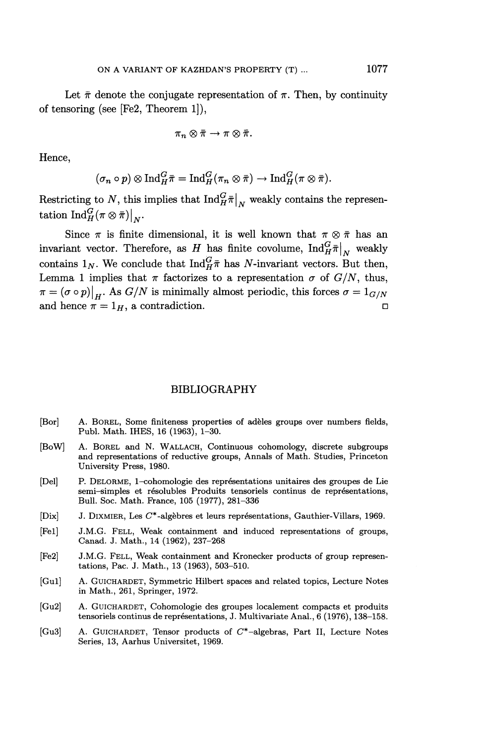Let  $\bar{\pi}$  denote the conjugate representation of  $\pi$ . Then, by continuity of tensoring (see [Fe2, Theorem 1]),

$$
\pi_n\otimes\bar{\pi}\to\pi\otimes\bar{\pi}.
$$

Hence,

$$
(\sigma_n \circ p) \otimes \mathrm{Ind}_{H}^{G} \bar{\pi} = \mathrm{Ind}_{H}^{G} (\pi_n \otimes \bar{\pi}) \to \mathrm{Ind}_{H}^{G} (\pi \otimes \bar{\pi}).
$$

Restricting to N, this implies that  $\text{Ind}_{H}^{G}$  $\bar{\pi}|_{N}$  weakly contains the representation  $\text{Ind}_{H}^{G} (\pi\otimes \bar{\pi}) |_{N}.$ 

Since  $\pi$  is finite dimensional, it is well known that  $\pi \otimes \bar{\pi}$  has an invariant vector. Therefore, as *H* has finite covolume,  $\text{Ind}_{H}^G\bar{\pi}|_{N}$ , weakly contains  $1_N$ . We conclude that  $\text{Ind}_{H}^G\bar{\pi}$  has N-invariant vectors. But then, Lemma 1 implies that  $\pi$  factorizes to a representation  $\sigma$  of  $G/N$ , thus,  $\pi = (\sigma \circ p)|_H$ . As  $G/N$  is minimally almost periodic, this forces  $\sigma = 1_{G/N}$ and hence  $\pi = 1_H$ , a contradiction.

#### BIBLIOGRAPHY

- [Bor] A. BOREL, Some finiteness properties of adeles groups over numbers fields, Publ. Math. IHES, 16 (1963), 1-30.
- [BoW] A. BOREL and N. WALLACH, Continuous cohomology, discrete subgroups and representations of reductive groups, Annals of Math. Studies, Princeton University Press, 1980.
- [Del] P. DELORME, 1-cohomologie des representations unitaires des groupes de Lie semi-simples et résolubles Produits tensoriels continus de représentations, Bull. Soc. Math. France, 105 (1977), 281-336
- [Dix] J. DIXMIER, Les C'\*-algebres et leurs representations, Gauthier-Villars, 1969.
- [Fel] J.M.G. FELL, Weak containment and induced representations of groups, Canad. J. Math., 14 (1962), 237-268
- [Fe2] J.M.G. FELL, Weak containment and Kronecker products of group representations, Pac. J. Math., 13 (1963), 503-510.
- [Gul] A. GUICHARDET, Symmetric Hilbert spaces and related topics, Lecture Notes in Math., 261, Springer, 1972.
- [Gu2] A. GUICHARDET, Cohomologie des groupes localement compacts et produits tensoriels continus de représentations, J. Multivariate Anal., 6 (1976), 138-158.
- [Gu3] A. GUICHARDET, Tensor products of C'\*-algebras, Part II, Lecture Notes Series, 13, Aarhus Universitet, 1969.